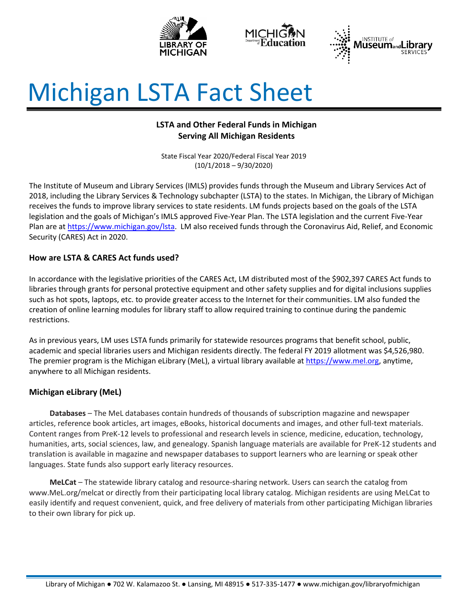





# Michigan LSTA Fact Sheet

# **LSTA and Other Federal Funds in Michigan Serving All Michigan Residents**

State Fiscal Year 2020/Federal Fiscal Year 2019 (10/1/2018 – 9/30/2020)

The Institute of Museum and Library Services (IMLS) provides funds through the Museum and Library Services Act of 2018, including the Library Services & Technology subchapter (LSTA) to the states. In Michigan, the Library of Michigan receives the funds to improve library services to state residents. LM funds projects based on the goals of the LSTA legislation and the goals of Michigan's IMLS approved Five-Year Plan. The LSTA legislation and the current Five-Year Plan are at [https://www.michigan.gov/lsta.](https://www.michigan.gov/lsta) LM also received funds through the Coronavirus Aid, Relief, and Economic Security (CARES) Act in 2020.

## **How are LSTA & CARES Act funds used?**

In accordance with the legislative priorities of the CARES Act, LM distributed most of the \$902,397 CARES Act funds to libraries through grants for personal protective equipment and other safety supplies and for digital inclusions supplies such as hot spots, laptops, etc. to provide greater access to the Internet for their communities. LM also funded the creation of online learning modules for library staff to allow required training to continue during the pandemic restrictions.

As in previous years, LM uses LSTA funds primarily for statewide resources programs that benefit school, public, academic and special libraries users and Michigan residents directly. The federal FY 2019 allotment was \$4,526,980. The premier program is the Michigan eLibrary (MeL), a virtual library available at [https://www.mel.org,](https://www.mel.org/) anytime, anywhere to all Michigan residents.

## **Michigan eLibrary (MeL)**

**Databases** – The MeL databases contain hundreds of thousands of subscription magazine and newspaper articles, reference book articles, art images, eBooks, historical documents and images, and other full-text materials. Content ranges from PreK-12 levels to professional and research levels in science, medicine, education, technology, humanities, arts, social sciences, law, and genealogy. Spanish language materials are available for PreK-12 students and translation is available in magazine and newspaper databases to support learners who are learning or speak other languages. State funds also support early literacy resources.

**MeLCat** – The statewide library catalog and resource-sharing network. Users can search the catalog from www.MeL.org/melcat or directly from their participating local library catalog. Michigan residents are using MeLCat to easily identify and request convenient, quick, and free delivery of materials from other participating Michigan libraries to their own library for pick up.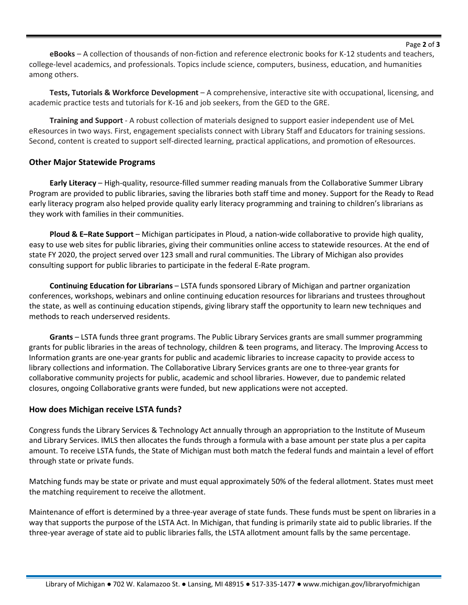#### Page **2** of **3**

**eBooks** – A collection of thousands of non-fiction and reference electronic books for K-12 students and teachers, college-level academics, and professionals. Topics include science, computers, business, education, and humanities among others.

**Tests, Tutorials & Workforce Development** – A comprehensive, interactive site with occupational, licensing, and academic practice tests and tutorials for K-16 and job seekers, from the GED to the GRE.

**Training and Support** - A robust collection of materials designed to support easier independent use of MeL eResources in two ways. First, engagement specialists connect with Library Staff and Educators for training sessions. Second, content is created to support self-directed learning, practical applications, and promotion of eResources.

#### **Other Major Statewide Programs**

**Early Literacy** – High-quality, resource-filled summer reading manuals from the Collaborative Summer Library Program are provided to public libraries, saving the libraries both staff time and money. Support for the Ready to Read early literacy program also helped provide quality early literacy programming and training to children's librarians as they work with families in their communities.

**Ploud & E–Rate Support** – Michigan participates in Ploud, a nation-wide collaborative to provide high quality, easy to use web sites for public libraries, giving their communities online access to statewide resources. At the end of state FY 2020, the project served over 123 small and rural communities. The Library of Michigan also provides consulting support for public libraries to participate in the federal E-Rate program.

**Continuing Education for Librarians** – LSTA funds sponsored Library of Michigan and partner organization conferences, workshops, webinars and online continuing education resources for librarians and trustees throughout the state, as well as continuing education stipends, giving library staff the opportunity to learn new techniques and methods to reach underserved residents.

**Grants** – LSTA funds three grant programs. The Public Library Services grants are small summer programming grants for public libraries in the areas of technology, children & teen programs, and literacy. The Improving Access to Information grants are one-year grants for public and academic libraries to increase capacity to provide access to library collections and information. The Collaborative Library Services grants are one to three-year grants for collaborative community projects for public, academic and school libraries. However, due to pandemic related closures, ongoing Collaborative grants were funded, but new applications were not accepted.

### **How does Michigan receive LSTA funds?**

Congress funds the Library Services & Technology Act annually through an appropriation to the Institute of Museum and Library Services. IMLS then allocates the funds through a formula with a base amount per state plus a per capita amount. To receive LSTA funds, the State of Michigan must both match the federal funds and maintain a level of effort through state or private funds.

Matching funds may be state or private and must equal approximately 50% of the federal allotment. States must meet the matching requirement to receive the allotment.

Maintenance of effort is determined by a three-year average of state funds. These funds must be spent on libraries in a way that supports the purpose of the LSTA Act. In Michigan, that funding is primarily state aid to public libraries. If the three-year average of state aid to public libraries falls, the LSTA allotment amount falls by the same percentage.